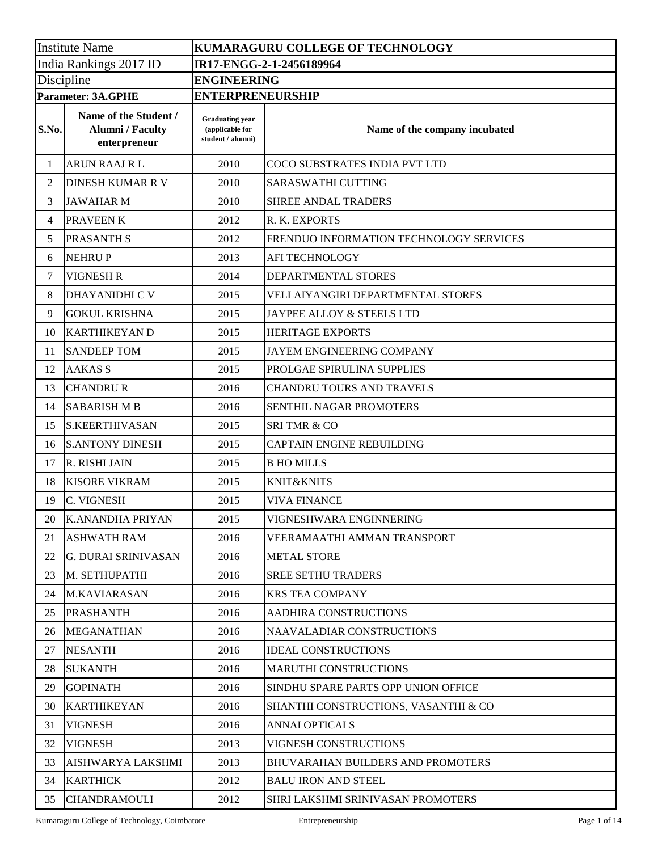| <b>Institute Name</b>  |                                                                  | KUMARAGURU COLLEGE OF TECHNOLOGY                               |                                          |  |  |
|------------------------|------------------------------------------------------------------|----------------------------------------------------------------|------------------------------------------|--|--|
| India Rankings 2017 ID |                                                                  | IR17-ENGG-2-1-2456189964                                       |                                          |  |  |
| Discipline             |                                                                  | <b>ENGINEERING</b>                                             |                                          |  |  |
|                        | <b>Parameter: 3A.GPHE</b>                                        | <b>ENTERPRENEURSHIP</b>                                        |                                          |  |  |
| S.No.                  | Name of the Student /<br><b>Alumni</b> / Faculty<br>enterpreneur | <b>Graduating year</b><br>(applicable for<br>student / alumni) | Name of the company incubated            |  |  |
| 1                      | <b>ARUN RAAJ RL</b>                                              | 2010                                                           | COCO SUBSTRATES INDIA PVT LTD            |  |  |
| 2                      | <b>DINESH KUMAR R V</b>                                          | 2010                                                           | <b>SARASWATHI CUTTING</b>                |  |  |
| 3                      | <b>JAWAHAR M</b>                                                 | 2010                                                           | SHREE ANDAL TRADERS                      |  |  |
| 4                      | PRAVEEN K                                                        | 2012                                                           | R. K. EXPORTS                            |  |  |
| 5                      | <b>PRASANTH S</b>                                                | 2012                                                           | FRENDUO INFORMATION TECHNOLOGY SERVICES  |  |  |
| 6                      | <b>NEHRUP</b>                                                    | 2013                                                           | <b>AFI TECHNOLOGY</b>                    |  |  |
| $\overline{7}$         | <b>VIGNESH R</b>                                                 | 2014                                                           | DEPARTMENTAL STORES                      |  |  |
| 8                      | <b>DHAYANIDHI C V</b>                                            | 2015                                                           | VELLAIYANGIRI DEPARTMENTAL STORES        |  |  |
| 9                      | <b>GOKUL KRISHNA</b>                                             | 2015                                                           | JAYPEE ALLOY & STEELS LTD                |  |  |
| 10                     | <b>KARTHIKEYAN D</b>                                             | 2015                                                           | <b>HERITAGE EXPORTS</b>                  |  |  |
| 11                     | <b>SANDEEP TOM</b>                                               | 2015                                                           | JAYEM ENGINEERING COMPANY                |  |  |
| 12                     | <b>AAKAS S</b>                                                   | 2015                                                           | PROLGAE SPIRULINA SUPPLIES               |  |  |
| 13                     | <b>CHANDRU R</b>                                                 | 2016                                                           | CHANDRU TOURS AND TRAVELS                |  |  |
| 14                     | <b>SABARISH M B</b>                                              | 2016                                                           | <b>SENTHIL NAGAR PROMOTERS</b>           |  |  |
| 15                     | <b>S.KEERTHIVASAN</b>                                            | 2015                                                           | <b>SRITMR &amp; CO</b>                   |  |  |
| 16                     | <b>S.ANTONY DINESH</b>                                           | 2015                                                           | CAPTAIN ENGINE REBUILDING                |  |  |
| 17                     | R. RISHI JAIN                                                    | 2015                                                           | <b>B HO MILLS</b>                        |  |  |
| 18                     | <b>KISORE VIKRAM</b>                                             | 2015                                                           | KNIT&KNITS                               |  |  |
| 19                     | C. VIGNESH                                                       | 2015                                                           | <b>VIVA FINANCE</b>                      |  |  |
| 20                     | K.ANANDHA PRIYAN                                                 | 2015                                                           | VIGNESHWARA ENGINNERING                  |  |  |
| 21                     | <b>ASHWATH RAM</b>                                               | 2016                                                           | VEERAMAATHI AMMAN TRANSPORT              |  |  |
| 22                     | <b>G. DURAI SRINIVASAN</b>                                       | 2016                                                           | <b>METAL STORE</b>                       |  |  |
| 23                     | M. SETHUPATHI                                                    | 2016                                                           | <b>SREE SETHU TRADERS</b>                |  |  |
| 24                     | <b>M.KAVIARASAN</b>                                              | 2016                                                           | <b>KRS TEA COMPANY</b>                   |  |  |
| 25                     | <b>PRASHANTH</b>                                                 | 2016                                                           | <b>AADHIRA CONSTRUCTIONS</b>             |  |  |
| 26                     | <b>MEGANATHAN</b>                                                | 2016                                                           | NAAVALADIAR CONSTRUCTIONS                |  |  |
| 27                     | <b>NESANTH</b>                                                   | 2016                                                           | <b>IDEAL CONSTRUCTIONS</b>               |  |  |
| 28                     | <b>SUKANTH</b>                                                   | 2016                                                           | <b>MARUTHI CONSTRUCTIONS</b>             |  |  |
| 29                     | <b>GOPINATH</b>                                                  | 2016                                                           | SINDHU SPARE PARTS OPP UNION OFFICE      |  |  |
| 30                     | <b>KARTHIKEYAN</b>                                               | 2016                                                           | SHANTHI CONSTRUCTIONS, VASANTHI & CO     |  |  |
| 31                     | <b>VIGNESH</b>                                                   | 2016                                                           | <b>ANNAI OPTICALS</b>                    |  |  |
| 32                     | <b>VIGNESH</b>                                                   | 2013                                                           | VIGNESH CONSTRUCTIONS                    |  |  |
| 33                     | AISHWARYA LAKSHMI                                                | 2013                                                           | <b>BHUVARAHAN BUILDERS AND PROMOTERS</b> |  |  |
| 34                     | <b>KARTHICK</b>                                                  | 2012                                                           | <b>BALU IRON AND STEEL</b>               |  |  |
| 35                     | <b>CHANDRAMOULI</b>                                              | 2012                                                           | SHRI LAKSHMI SRINIVASAN PROMOTERS        |  |  |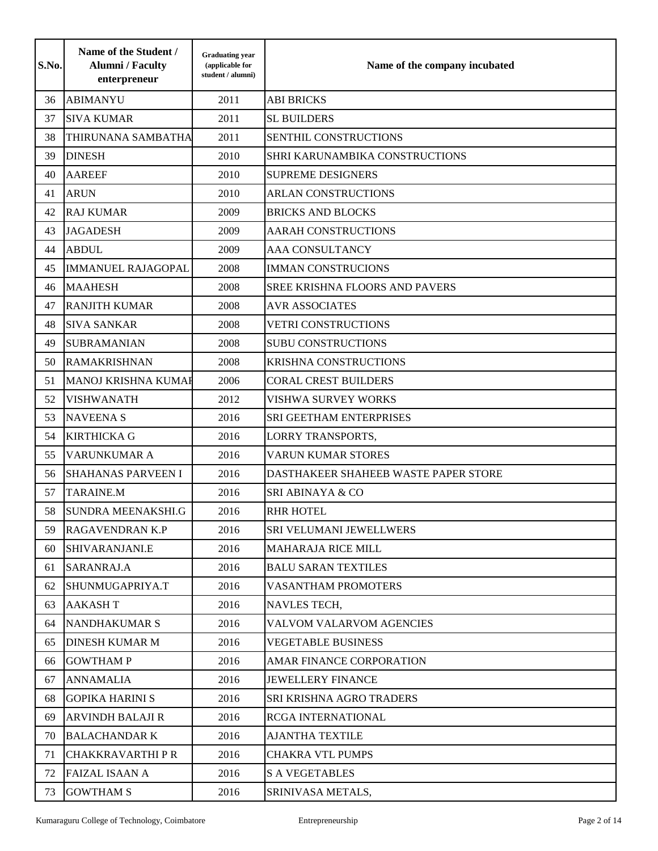| S.No. | Name of the Student /<br><b>Alumni</b> / Faculty<br>enterpreneur | <b>Graduating year</b><br>(applicable for<br>student / alumni) | Name of the company incubated         |
|-------|------------------------------------------------------------------|----------------------------------------------------------------|---------------------------------------|
| 36    | <b>ABIMANYU</b>                                                  | 2011                                                           | <b>ABI BRICKS</b>                     |
| 37    | <b>SIVA KUMAR</b>                                                | 2011                                                           | <b>SL BUILDERS</b>                    |
| 38    | THIRUNANA SAMBATHA                                               | 2011                                                           | SENTHIL CONSTRUCTIONS                 |
| 39    | <b>DINESH</b>                                                    | 2010                                                           | SHRI KARUNAMBIKA CONSTRUCTIONS        |
| 40    | <b>AAREEF</b>                                                    | 2010                                                           | <b>SUPREME DESIGNERS</b>              |
| 41    | <b>ARUN</b>                                                      | 2010                                                           | <b>ARLAN CONSTRUCTIONS</b>            |
| 42    | <b>RAJ KUMAR</b>                                                 | 2009                                                           | <b>BRICKS AND BLOCKS</b>              |
| 43    | <b>JAGADESH</b>                                                  | 2009                                                           | <b>AARAH CONSTRUCTIONS</b>            |
| 44    | <b>ABDUL</b>                                                     | 2009                                                           | AAA CONSULTANCY                       |
| 45    | <b>IMMANUEL RAJAGOPAL</b>                                        | 2008                                                           | <b>IMMAN CONSTRUCIONS</b>             |
| 46    | <b>MAAHESH</b>                                                   | 2008                                                           | <b>SREE KRISHNA FLOORS AND PAVERS</b> |
| 47    | <b>RANJITH KUMAR</b>                                             | 2008                                                           | <b>AVR ASSOCIATES</b>                 |
| 48    | <b>SIVA SANKAR</b>                                               | 2008                                                           | <b>VETRI CONSTRUCTIONS</b>            |
| 49    | <b>SUBRAMANIAN</b>                                               | 2008                                                           | <b>SUBU CONSTRUCTIONS</b>             |
| 50    | <b>RAMAKRISHNAN</b>                                              | 2008                                                           | <b>KRISHNA CONSTRUCTIONS</b>          |
| 51    | <b>MANOJ KRISHNA KUMAF</b>                                       | 2006                                                           | <b>CORAL CREST BUILDERS</b>           |
| 52    | <b>VISHWANATH</b>                                                | 2012                                                           | VISHWA SURVEY WORKS                   |
| 53    | <b>NAVEENA S</b>                                                 | 2016                                                           | SRI GEETHAM ENTERPRISES               |
| 54    | <b>KIRTHICKA G</b>                                               | 2016                                                           | <b>LORRY TRANSPORTS,</b>              |
| 55    | VARUNKUMAR A                                                     | 2016                                                           | <b>VARUN KUMAR STORES</b>             |
| 56    | <b>SHAHANAS PARVEEN I</b>                                        | 2016                                                           | DASTHAKEER SHAHEEB WASTE PAPER STORE  |
| 57    | <b>TARAINE.M</b>                                                 | 2016                                                           | <b>SRI ABINAYA &amp; CO</b>           |
| 58    | <b>SUNDRA MEENAKSHI.G</b>                                        | 2016                                                           | <b>RHR HOTEL</b>                      |
| 59.   | RAGAVENDRAN K.P                                                  | 2016                                                           | SRI VELUMANI JEWELLWERS               |
| 60    | SHIVARANJANI.E                                                   | 2016                                                           | <b>MAHARAJA RICE MILL</b>             |
| 61    | SARANRAJ.A                                                       | 2016                                                           | <b>BALU SARAN TEXTILES</b>            |
| 62    | SHUNMUGAPRIYA.T                                                  | 2016                                                           | VASANTHAM PROMOTERS                   |
| 63    | <b>AAKASHT</b>                                                   | 2016                                                           | NAVLES TECH,                          |
| 64    | <b>NANDHAKUMAR S</b>                                             | 2016                                                           | VALVOM VALARVOM AGENCIES              |
| 65    | <b>DINESH KUMAR M</b>                                            | 2016                                                           | <b>VEGETABLE BUSINESS</b>             |
| 66    | <b>GOWTHAM P</b>                                                 | 2016                                                           | AMAR FINANCE CORPORATION              |
| 67    | <b>ANNAMALIA</b>                                                 | 2016                                                           | <b>JEWELLERY FINANCE</b>              |
| 68    | <b>GOPIKA HARINI S</b>                                           | 2016                                                           | SRI KRISHNA AGRO TRADERS              |
| 69    | <b>ARVINDH BALAJI R</b>                                          | 2016                                                           | <b>RCGA INTERNATIONAL</b>             |
| 70    | <b>BALACHANDARK</b>                                              | 2016                                                           | <b>AJANTHA TEXTILE</b>                |
| 71    | <b>CHAKKRAVARTHI P R</b>                                         | 2016                                                           | <b>CHAKRA VTL PUMPS</b>               |
| 72    | <b>FAIZAL ISAAN A</b>                                            | 2016                                                           | <b>S A VEGETABLES</b>                 |
| 73    | <b>GOWTHAM S</b>                                                 | 2016                                                           | SRINIVASA METALS,                     |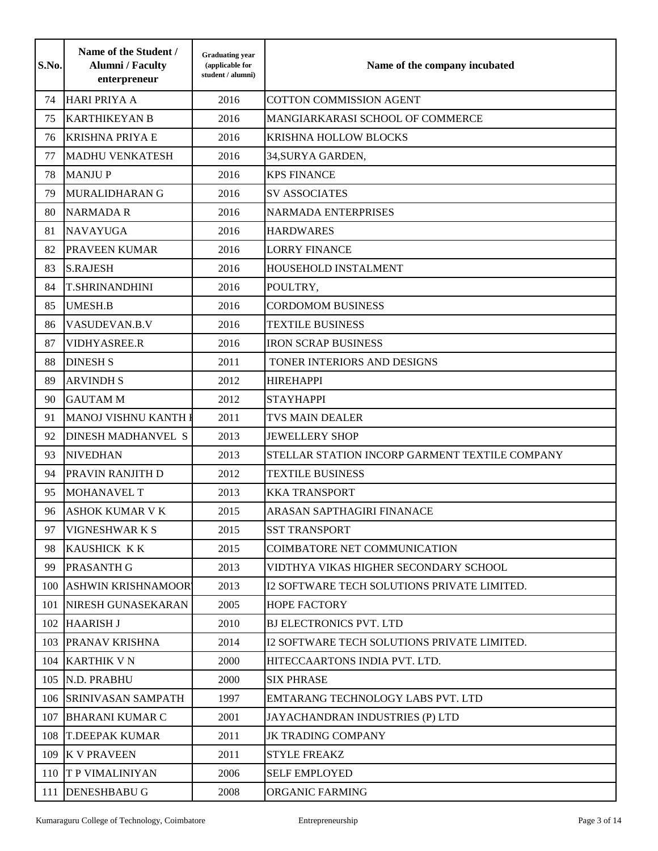| S.No. | Name of the Student /<br><b>Alumni</b> / Faculty<br>enterpreneur | <b>Graduating year</b><br>(applicable for<br>student / alumni) | Name of the company incubated                  |
|-------|------------------------------------------------------------------|----------------------------------------------------------------|------------------------------------------------|
| 74    | <b>HARI PRIYA A</b>                                              | 2016                                                           | <b>COTTON COMMISSION AGENT</b>                 |
| 75    | <b>KARTHIKEYAN B</b>                                             | 2016                                                           | MANGIARKARASI SCHOOL OF COMMERCE               |
| 76    | <b>KRISHNA PRIYA E</b>                                           | 2016                                                           | <b>KRISHNA HOLLOW BLOCKS</b>                   |
| 77    | <b>MADHU VENKATESH</b>                                           | 2016                                                           | 34, SURYA GARDEN,                              |
| 78    | <b>MANJUP</b>                                                    | 2016                                                           | <b>KPS FINANCE</b>                             |
| 79    | MURALIDHARAN G                                                   | 2016                                                           | <b>SV ASSOCIATES</b>                           |
| 80    | <b>NARMADA R</b>                                                 | 2016                                                           | <b>NARMADA ENTERPRISES</b>                     |
| 81    | <b>NAVAYUGA</b>                                                  | 2016                                                           | <b>HARDWARES</b>                               |
| 82    | PRAVEEN KUMAR                                                    | 2016                                                           | <b>LORRY FINANCE</b>                           |
| 83    | <b>S.RAJESH</b>                                                  | 2016                                                           | HOUSEHOLD INSTALMENT                           |
| 84    | <b>T.SHRINANDHINI</b>                                            | 2016                                                           | POULTRY,                                       |
| 85    | <b>UMESH.B</b>                                                   | 2016                                                           | <b>CORDOMOM BUSINESS</b>                       |
| 86    | VASUDEVAN.B.V                                                    | 2016                                                           | <b>TEXTILE BUSINESS</b>                        |
| 87    | VIDHYASREE.R                                                     | 2016                                                           | <b>IRON SCRAP BUSINESS</b>                     |
| 88    | <b>DINESH S</b>                                                  | 2011                                                           | TONER INTERIORS AND DESIGNS                    |
| 89    | <b>ARVINDH S</b>                                                 | 2012                                                           | <b>HIREHAPPI</b>                               |
| 90    | <b>GAUTAM M</b>                                                  | 2012                                                           | <b>STAYHAPPI</b>                               |
| 91    | MANOJ VISHNU KANTH I                                             | 2011                                                           | <b>TVS MAIN DEALER</b>                         |
| 92    | <b>DINESH MADHANVEL S</b>                                        | 2013                                                           | <b>JEWELLERY SHOP</b>                          |
| 93    | <b>NIVEDHAN</b>                                                  | 2013                                                           | STELLAR STATION INCORP GARMENT TEXTILE COMPANY |
| 94    | <b>PRAVIN RANJITH D</b>                                          | 2012                                                           | <b>TEXTILE BUSINESS</b>                        |
| 95    | <b>MOHANAVEL T</b>                                               | 2013                                                           | <b>KKA TRANSPORT</b>                           |
| 96    | <b>ASHOK KUMAR V K</b>                                           | 2015                                                           | ARASAN SAPTHAGIRI FINANACE                     |
| 97    | <b>VIGNESHWARKS</b>                                              | 2015                                                           | <b>SST TRANSPORT</b>                           |
| 98    | <b>KAUSHICK KK</b>                                               | 2015                                                           | COIMBATORE NET COMMUNICATION                   |
| 99    | <b>PRASANTH G</b>                                                | 2013                                                           | VIDTHYA VIKAS HIGHER SECONDARY SCHOOL          |
| 100   | <b>ASHWIN KRISHNAMOOR</b>                                        | 2013                                                           | I2 SOFTWARE TECH SOLUTIONS PRIVATE LIMITED.    |
| 101   | NIRESH GUNASEKARAN                                               | 2005                                                           | <b>HOPE FACTORY</b>                            |
| 102   | <b>HAARISH J</b>                                                 | 2010                                                           | <b>BJ ELECTRONICS PVT. LTD</b>                 |
| 103   | <b>PRANAV KRISHNA</b>                                            | 2014                                                           | I2 SOFTWARE TECH SOLUTIONS PRIVATE LIMITED.    |
|       | 104 KARTHIK V N                                                  | 2000                                                           | HITECCAARTONS INDIA PVT. LTD.                  |
|       | 105 N.D. PRABHU                                                  | 2000                                                           | <b>SIX PHRASE</b>                              |
|       | 106 SRINIVASAN SAMPATH                                           | 1997                                                           | EMTARANG TECHNOLOGY LABS PVT. LTD              |
| 107   | <b>BHARANI KUMAR C</b>                                           | 2001                                                           | JAYACHANDRAN INDUSTRIES (P) LTD                |
| 108   | <b>T.DEEPAK KUMAR</b>                                            | 2011                                                           | <b>JK TRADING COMPANY</b>                      |
| 109   | <b>K V PRAVEEN</b>                                               | 2011                                                           | <b>STYLE FREAKZ</b>                            |
|       | 110 T P VIMALINIYAN                                              | 2006                                                           | <b>SELF EMPLOYED</b>                           |
| 111   | <b>DENESHBABU G</b>                                              | 2008                                                           | ORGANIC FARMING                                |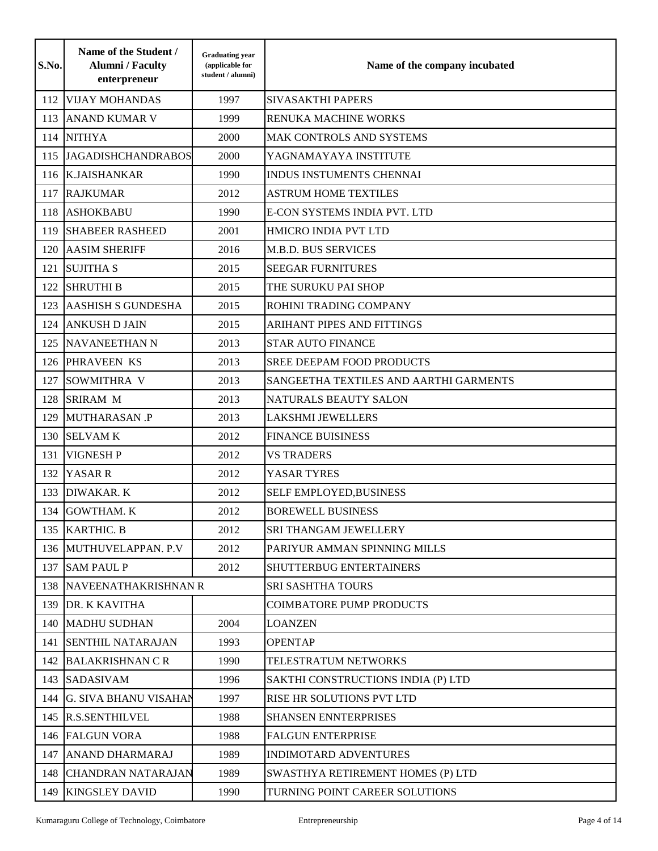| S.No. | Name of the Student /<br><b>Alumni</b> / Faculty<br>enterpreneur | <b>Graduating year</b><br>(applicable for<br>student / alumni) | Name of the company incubated          |
|-------|------------------------------------------------------------------|----------------------------------------------------------------|----------------------------------------|
| 112   | <b>VIJAY MOHANDAS</b>                                            | 1997                                                           | <b>SIVASAKTHI PAPERS</b>               |
| 113   | <b>ANAND KUMAR V</b>                                             | 1999                                                           | RENUKA MACHINE WORKS                   |
| 114   | <b>NITHYA</b>                                                    | 2000                                                           | MAK CONTROLS AND SYSTEMS               |
| 115   | <b>JAGADISHCHANDRABOS</b>                                        | 2000                                                           | YAGNAMAYAYA INSTITUTE                  |
| 116   | <b>K.JAISHANKAR</b>                                              | 1990                                                           | INDUS INSTUMENTS CHENNAI               |
| 117   | <b>RAJKUMAR</b>                                                  | 2012                                                           | <b>ASTRUM HOME TEXTILES</b>            |
| 118   | <b>ASHOKBABU</b>                                                 | 1990                                                           | <b>E-CON SYSTEMS INDIA PVT. LTD</b>    |
| 119   | <b>SHABEER RASHEED</b>                                           | 2001                                                           | HMICRO INDIA PVT LTD                   |
| 120   | <b>AASIM SHERIFF</b>                                             | 2016                                                           | <b>M.B.D. BUS SERVICES</b>             |
| 121   | <b>SUJITHA S</b>                                                 | 2015                                                           | <b>SEEGAR FURNITURES</b>               |
| 122   | <b>SHRUTHI B</b>                                                 | 2015                                                           | THE SURUKU PAI SHOP                    |
| 123   | <b>AASHISH S GUNDESHA</b>                                        | 2015                                                           | ROHINI TRADING COMPANY                 |
| 124   | <b>ANKUSH D JAIN</b>                                             | 2015                                                           | <b>ARIHANT PIPES AND FITTINGS</b>      |
| 125   | NAVANEETHAN N                                                    | 2013                                                           | <b>STAR AUTO FINANCE</b>               |
|       | 126 PHRAVEEN KS                                                  | 2013                                                           | <b>SREE DEEPAM FOOD PRODUCTS</b>       |
| 127   | SOWMITHRA V                                                      | 2013                                                           | SANGEETHA TEXTILES AND AARTHI GARMENTS |
| 128   | <b>SRIRAM M</b>                                                  | 2013                                                           | NATURALS BEAUTY SALON                  |
| 129   | <b>MUTHARASAN .P</b>                                             | 2013                                                           | <b>LAKSHMI JEWELLERS</b>               |
| 130   | <b>SELVAM K</b>                                                  | 2012                                                           | <b>FINANCE BUISINESS</b>               |
| 131   | <b>VIGNESH P</b>                                                 | 2012                                                           | <b>VS TRADERS</b>                      |
| 132   | YASAR R                                                          | 2012                                                           | YASAR TYRES                            |
| 133   | <b>DIWAKAR. K</b>                                                | 2012                                                           | SELF EMPLOYED, BUSINESS                |
| 134   | <b>GOWTHAM. K</b>                                                | 2012                                                           | <b>BOREWELL BUSINESS</b>               |
|       | 135 KARTHIC. B                                                   | 2012                                                           | SRI THANGAM JEWELLERY                  |
|       | 136 MUTHUVELAPPAN. P.V                                           | 2012                                                           | PARIYUR AMMAN SPINNING MILLS           |
|       | 137 SAM PAUL P                                                   | 2012                                                           | <b>SHUTTERBUG ENTERTAINERS</b>         |
|       | 138 NAVEENATHAKRISHNAN R                                         |                                                                | <b>SRI SASHTHA TOURS</b>               |
|       | 139 DR. K KAVITHA                                                |                                                                | <b>COIMBATORE PUMP PRODUCTS</b>        |
|       | 140 MADHU SUDHAN                                                 | 2004                                                           | <b>LOANZEN</b>                         |
| 141   | <b>SENTHIL NATARAJAN</b>                                         | 1993                                                           | <b>OPENTAP</b>                         |
|       | 142 BALAKRISHNAN CR                                              | 1990                                                           | TELESTRATUM NETWORKS                   |
|       | 143 SADASIVAM                                                    | 1996                                                           | SAKTHI CONSTRUCTIONS INDIA (P) LTD     |
|       | 144 G. SIVA BHANU VISAHAN                                        | 1997                                                           | RISE HR SOLUTIONS PVT LTD              |
|       | 145 R.S.SENTHILVEL                                               | 1988                                                           | <b>SHANSEN ENNTERPRISES</b>            |
|       | 146 FALGUN VORA                                                  | 1988                                                           | <b>FALGUN ENTERPRISE</b>               |
|       | 147 ANAND DHARMARAJ                                              | 1989                                                           | INDIMOTARD ADVENTURES                  |
|       | 148 CHANDRAN NATARAJAN                                           | 1989                                                           | SWASTHYA RETIREMENT HOMES (P) LTD      |
|       | 149 KINGSLEY DAVID                                               | 1990                                                           | TURNING POINT CAREER SOLUTIONS         |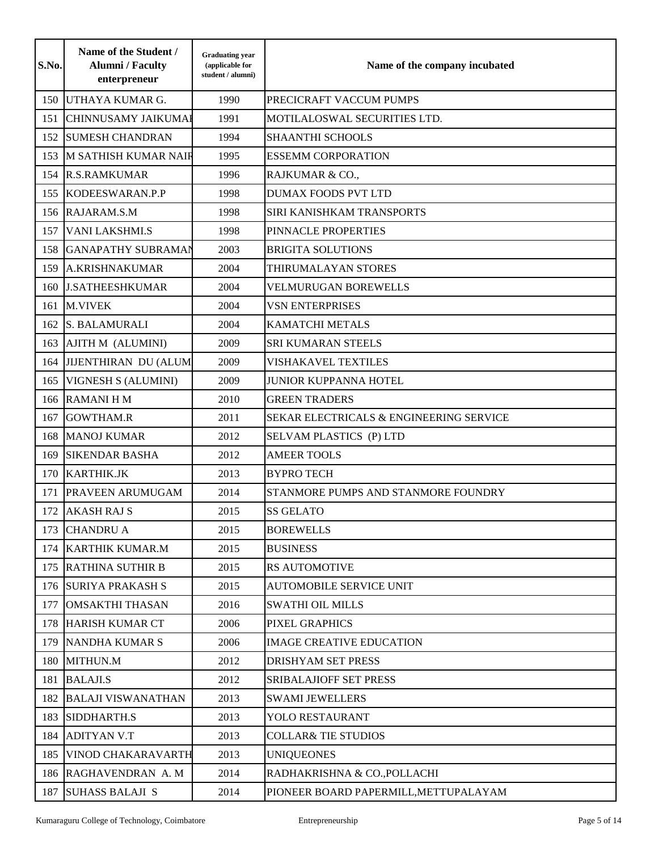| S.No. | Name of the Student /<br><b>Alumni</b> / Faculty<br>enterpreneur | <b>Graduating year</b><br>(applicable for<br>student / alumni) | Name of the company incubated           |
|-------|------------------------------------------------------------------|----------------------------------------------------------------|-----------------------------------------|
| 150   | UTHAYA KUMAR G.                                                  | 1990                                                           | PRECICRAFT VACCUM PUMPS                 |
| 151   | <b>CHINNUSAMY JAIKUMAI</b>                                       | 1991                                                           | MOTILALOSWAL SECURITIES LTD.            |
| 152   | <b>SUMESH CHANDRAN</b>                                           | 1994                                                           | <b>SHAANTHI SCHOOLS</b>                 |
| 153   | <b>M SATHISH KUMAR NAIF</b>                                      | 1995                                                           | <b>ESSEMM CORPORATION</b>               |
| 154   | <b>R.S.RAMKUMAR</b>                                              | 1996                                                           | RAJKUMAR & CO.,                         |
| 155   | KODEESWARAN.P.P                                                  | 1998                                                           | <b>DUMAX FOODS PVT LTD</b>              |
| 156   | RAJARAM.S.M                                                      | 1998                                                           | <b>SIRI KANISHKAM TRANSPORTS</b>        |
| 157   | <b>VANI LAKSHMI.S</b>                                            | 1998                                                           | PINNACLE PROPERTIES                     |
| 158   | <b>GANAPATHY SUBRAMAN</b>                                        | 2003                                                           | <b>BRIGITA SOLUTIONS</b>                |
| 159   | A.KRISHNAKUMAR                                                   | 2004                                                           | THIRUMALAYAN STORES                     |
| 160   | <b>J.SATHEESHKUMAR</b>                                           | 2004                                                           | VELMURUGAN BOREWELLS                    |
| 161   | <b>M.VIVEK</b>                                                   | 2004                                                           | <b>VSN ENTERPRISES</b>                  |
| 162   | <b>S. BALAMURALI</b>                                             | 2004                                                           | <b>KAMATCHI METALS</b>                  |
| 163   | AJITH M (ALUMINI)                                                | 2009                                                           | <b>SRI KUMARAN STEELS</b>               |
| 164   | JIJENTHIRAN DU (ALUM                                             | 2009                                                           | <b>VISHAKAVEL TEXTILES</b>              |
| 165   | <b>VIGNESH S (ALUMINI)</b>                                       | 2009                                                           | <b>JUNIOR KUPPANNA HOTEL</b>            |
| 166   | <b>RAMANIHM</b>                                                  | 2010                                                           | <b>GREEN TRADERS</b>                    |
| 167   | <b>GOWTHAM.R</b>                                                 | 2011                                                           | SEKAR ELECTRICALS & ENGINEERING SERVICE |
| 168   | <b>MANOJ KUMAR</b>                                               | 2012                                                           | SELVAM PLASTICS (P) LTD                 |
| 169   | <b>SIKENDAR BASHA</b>                                            | 2012                                                           | <b>AMEER TOOLS</b>                      |
| 170   | <b>KARTHIK.JK</b>                                                | 2013                                                           | <b>BYPRO TECH</b>                       |
| 171   | <b>PRAVEEN ARUMUGAM</b>                                          | 2014                                                           | STANMORE PUMPS AND STANMORE FOUNDRY     |
| 172   | <b>AKASH RAJ S</b>                                               | 2015                                                           | <b>SS GELATO</b>                        |
|       | 173 CHANDRU A                                                    | 2015                                                           | <b>BOREWELLS</b>                        |
|       | 174 KARTHIK KUMAR.M                                              | 2015                                                           | <b>BUSINESS</b>                         |
|       | 175 RATHINA SUTHIR B                                             | 2015                                                           | <b>RS AUTOMOTIVE</b>                    |
|       | 176 SURIYA PRAKASH S                                             | 2015                                                           | <b>AUTOMOBILE SERVICE UNIT</b>          |
| 177   | <b>OMSAKTHI THASAN</b>                                           | 2016                                                           | <b>SWATHI OIL MILLS</b>                 |
| 178   | <b>HARISH KUMAR CT</b>                                           | 2006                                                           | PIXEL GRAPHICS                          |
| 179   | <b>NANDHA KUMAR S</b>                                            | 2006                                                           | <b>IMAGE CREATIVE EDUCATION</b>         |
|       | 180 MITHUN.M                                                     | 2012                                                           | <b>DRISHYAM SET PRESS</b>               |
|       | 181 BALAJI.S                                                     | 2012                                                           | <b>SRIBALAJIOFF SET PRESS</b>           |
| 182   | <b>BALAJI VISWANATHAN</b>                                        | 2013                                                           | <b>SWAMI JEWELLERS</b>                  |
|       | 183 SIDDHARTH.S                                                  | 2013                                                           | YOLO RESTAURANT                         |
|       | 184 ADITYAN V.T                                                  | 2013                                                           | <b>COLLAR&amp; TIE STUDIOS</b>          |
|       | 185 VINOD CHAKARAVARTH                                           | 2013                                                           | <b>UNIQUEONES</b>                       |
|       | 186 RAGHAVENDRAN A.M                                             | 2014                                                           | RADHAKRISHNA & CO., POLLACHI            |
| 187   | <b>SUHASS BALAJI S</b>                                           | 2014                                                           | PIONEER BOARD PAPERMILL, METTUPALAYAM   |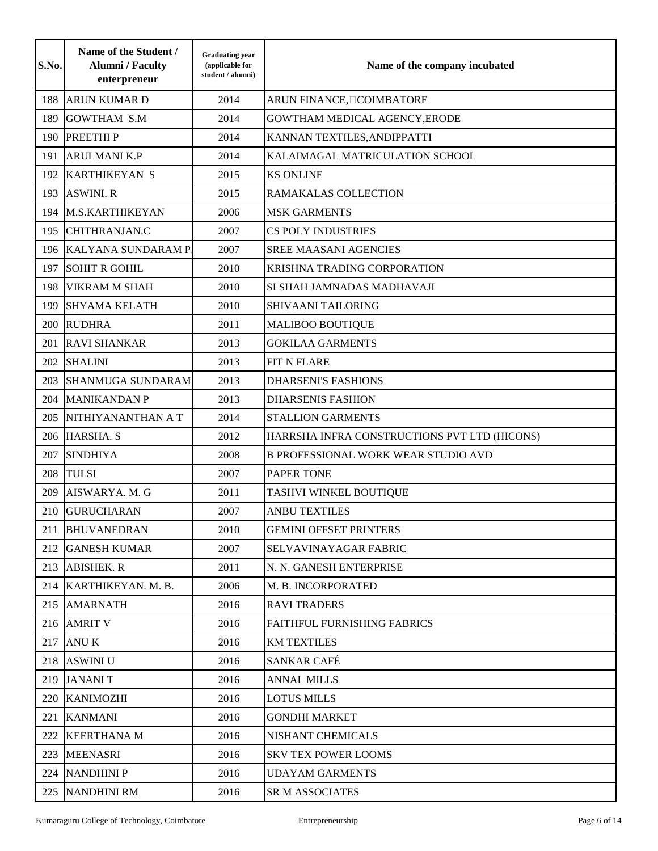| S.No. | Name of the Student /<br><b>Alumni</b> / Faculty<br>enterpreneur | <b>Graduating year</b><br>(applicable for<br>student / alumni) | Name of the company incubated                |
|-------|------------------------------------------------------------------|----------------------------------------------------------------|----------------------------------------------|
| 188   | <b>ARUN KUMAR D</b>                                              | 2014                                                           | ARUN FINANCE, COIMBATORE                     |
| 189   | <b>GOWTHAM S.M</b>                                               | 2014                                                           | GOWTHAM MEDICAL AGENCY, ERODE                |
| 190   | <b>PREETHIP</b>                                                  | 2014                                                           | KANNAN TEXTILES, ANDIPPATTI                  |
| 191   | <b>ARULMANI K.P</b>                                              | 2014                                                           | KALAIMAGAL MATRICULATION SCHOOL              |
| 192   | <b>KARTHIKEYAN S</b>                                             | 2015                                                           | <b>KS ONLINE</b>                             |
| 193   | <b>ASWINI. R</b>                                                 | 2015                                                           | RAMAKALAS COLLECTION                         |
| 194   | <b>M.S.KARTHIKEYAN</b>                                           | 2006                                                           | <b>MSK GARMENTS</b>                          |
| 195   | <b>CHITHRANJAN.C</b>                                             | 2007                                                           | CS POLY INDUSTRIES                           |
| 196   | <b>KALYANA SUNDARAM P</b>                                        | 2007                                                           | SREE MAASANI AGENCIES                        |
| 197   | <b>SOHIT R GOHIL</b>                                             | 2010                                                           | KRISHNA TRADING CORPORATION                  |
| 198   | <b>VIKRAM M SHAH</b>                                             | 2010                                                           | SI SHAH JAMNADAS MADHAVAJI                   |
| 199   | <b>SHYAMA KELATH</b>                                             | 2010                                                           | SHIVAANI TAILORING                           |
| 200   | <b>RUDHRA</b>                                                    | 2011                                                           | <b>MALIBOO BOUTIQUE</b>                      |
| 201   | <b>RAVI SHANKAR</b>                                              | 2013                                                           | <b>GOKILAA GARMENTS</b>                      |
| 202   | <b>SHALINI</b>                                                   | 2013                                                           | <b>FIT N FLARE</b>                           |
| 203   | <b>SHANMUGA SUNDARAM</b>                                         | 2013                                                           | <b>DHARSENI'S FASHIONS</b>                   |
| 204   | <b>MANIKANDAN P</b>                                              | 2013                                                           | <b>DHARSENIS FASHION</b>                     |
| 205   | NITHIYANANTHAN A T                                               | 2014                                                           | <b>STALLION GARMENTS</b>                     |
| 206   | HARSHA. S                                                        | 2012                                                           | HARRSHA INFRA CONSTRUCTIONS PVT LTD (HICONS) |
| 207   | <b>SINDHIYA</b>                                                  | 2008                                                           | <b>B PROFESSIONAL WORK WEAR STUDIO AVD</b>   |
| 208   | <b>TULSI</b>                                                     | 2007                                                           | <b>PAPER TONE</b>                            |
| 209   | AISWARYA. M. G                                                   | 2011                                                           | TASHVI WINKEL BOUTIQUE                       |
| 210   | <b>GURUCHARAN</b>                                                | 2007                                                           | <b>ANBU TEXTILES</b>                         |
|       | 211 BHUVANEDRAN                                                  | 2010                                                           | <b>GEMINI OFFSET PRINTERS</b>                |
|       | 212 GANESH KUMAR                                                 | 2007                                                           | SELVAVINAYAGAR FABRIC                        |
|       | 213 ABISHEK. R                                                   | 2011                                                           | N. N. GANESH ENTERPRISE                      |
|       | 214 KARTHIKEYAN. M. B.                                           | 2006                                                           | M. B. INCORPORATED                           |
| 215   | <b>AMARNATH</b>                                                  | 2016                                                           | <b>RAVI TRADERS</b>                          |
|       | 216 AMRIT V                                                      | 2016                                                           | FAITHFUL FURNISHING FABRICS                  |
| 217   | <b>ANU K</b>                                                     | 2016                                                           | <b>KM TEXTILES</b>                           |
|       | 218 ASWINI U                                                     | 2016                                                           | SANKAR CAFÉ                                  |
| 219   | <b>JANANIT</b>                                                   | 2016                                                           | <b>ANNAI MILLS</b>                           |
| 220   | <b>KANIMOZHI</b>                                                 | 2016                                                           | <b>LOTUS MILLS</b>                           |
| 221   | <b>KANMANI</b>                                                   | 2016                                                           | <b>GONDHI MARKET</b>                         |
| 222   | <b>KEERTHANA M</b>                                               | 2016                                                           | NISHANT CHEMICALS                            |
| 223   | <b>MEENASRI</b>                                                  | 2016                                                           | <b>SKV TEX POWER LOOMS</b>                   |
| 224   | <b>NANDHINIP</b>                                                 | 2016                                                           | <b>UDAYAM GARMENTS</b>                       |
|       | 225 NANDHINI RM                                                  | 2016                                                           | SR M ASSOCIATES                              |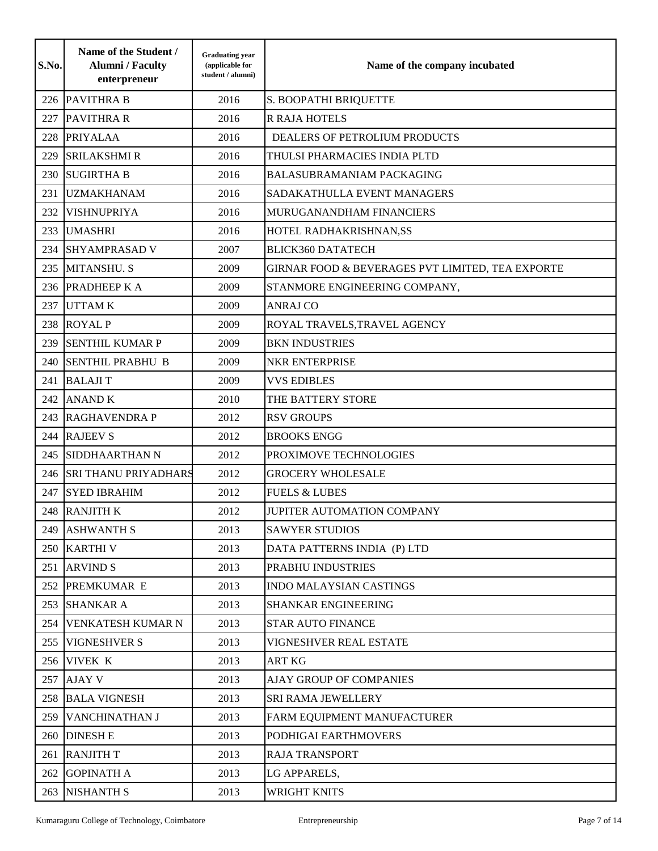| S.No. | Name of the Student /<br><b>Alumni</b> / Faculty<br>enterpreneur | <b>Graduating year</b><br>(applicable for<br>student / alumni) | Name of the company incubated                    |
|-------|------------------------------------------------------------------|----------------------------------------------------------------|--------------------------------------------------|
|       | 226 PAVITHRA B                                                   | 2016                                                           | S. BOOPATHI BRIQUETTE                            |
| 227   | <b>PAVITHRA R</b>                                                | 2016                                                           | <b>R RAJA HOTELS</b>                             |
| 228   | <b>PRIYALAA</b>                                                  | 2016                                                           | DEALERS OF PETROLIUM PRODUCTS                    |
| 229   | <b>SRILAKSHMI R</b>                                              | 2016                                                           | THULSI PHARMACIES INDIA PLTD                     |
| 230   | <b>SUGIRTHA B</b>                                                | 2016                                                           | <b>BALASUBRAMANIAM PACKAGING</b>                 |
| 231   | <b>UZMAKHANAM</b>                                                | 2016                                                           | SADAKATHULLA EVENT MANAGERS                      |
| 232   | VISHNUPRIYA                                                      | 2016                                                           | MURUGANANDHAM FINANCIERS                         |
| 233   | <b>UMASHRI</b>                                                   | 2016                                                           | HOTEL RADHAKRISHNAN, SS                          |
| 234   | <b>SHYAMPRASAD V</b>                                             | 2007                                                           | <b>BLICK360 DATATECH</b>                         |
| 235   | <b>MITANSHU. S</b>                                               | 2009                                                           | GIRNAR FOOD & BEVERAGES PVT LIMITED, TEA EXPORTE |
|       | 236 PRADHEEP K A                                                 | 2009                                                           | STANMORE ENGINEERING COMPANY,                    |
| 237   | <b>UTTAMK</b>                                                    | 2009                                                           | <b>ANRAJ CO</b>                                  |
| 238   | <b>ROYAL P</b>                                                   | 2009                                                           | ROYAL TRAVELS, TRAVEL AGENCY                     |
| 239   | <b>SENTHIL KUMAR P</b>                                           | 2009                                                           | <b>BKN INDUSTRIES</b>                            |
| 240   | <b>SENTHIL PRABHU B</b>                                          | 2009                                                           | <b>NKR ENTERPRISE</b>                            |
| 241   | <b>BALAJIT</b>                                                   | 2009                                                           | <b>VVS EDIBLES</b>                               |
| 242   | <b>ANAND K</b>                                                   | 2010                                                           | THE BATTERY STORE                                |
| 243   | <b>RAGHAVENDRA P</b>                                             | 2012                                                           | <b>RSV GROUPS</b>                                |
| 244   | <b>RAJEEV S</b>                                                  | 2012                                                           | <b>BROOKS ENGG</b>                               |
| 245   | SIDDHAARTHAN N                                                   | 2012                                                           | PROXIMOVE TECHNOLOGIES                           |
| 246   | <b>SRI THANU PRIYADHARS</b>                                      | 2012                                                           | <b>GROCERY WHOLESALE</b>                         |
| 247   | <b>SYED IBRAHIM</b>                                              | 2012                                                           | <b>FUELS &amp; LUBES</b>                         |
| 248   | <b>RANJITH K</b>                                                 | 2012                                                           | JUPITER AUTOMATION COMPANY                       |
|       | 249 ASHWANTH S                                                   | 2013                                                           | <b>SAWYER STUDIOS</b>                            |
|       | 250 KARTHI V                                                     | 2013                                                           | DATA PATTERNS INDIA (P) LTD                      |
|       | 251 ARVIND S                                                     | 2013                                                           | PRABHU INDUSTRIES                                |
|       | 252 PREMKUMAR E                                                  | 2013                                                           | <b>INDO MALAYSIAN CASTINGS</b>                   |
|       | 253 SHANKAR A                                                    | 2013                                                           | <b>SHANKAR ENGINEERING</b>                       |
|       | 254 VENKATESH KUMAR N                                            | 2013                                                           | <b>STAR AUTO FINANCE</b>                         |
|       | 255 VIGNESHVER S                                                 | 2013                                                           | VIGNESHVER REAL ESTATE                           |
|       | 256 VIVEK K                                                      | 2013                                                           | <b>ART KG</b>                                    |
|       | 257 AJAY V                                                       | 2013                                                           | <b>AJAY GROUP OF COMPANIES</b>                   |
|       | 258 BALA VIGNESH                                                 | 2013                                                           | <b>SRI RAMA JEWELLERY</b>                        |
|       | 259 VANCHINATHAN J                                               | 2013                                                           | FARM EQUIPMENT MANUFACTURER                      |
|       | 260 DINESH E                                                     | 2013                                                           | PODHIGAI EARTHMOVERS                             |
|       | 261 RANJITH T                                                    | 2013                                                           | <b>RAJA TRANSPORT</b>                            |
|       | 262 GOPINATH A                                                   | 2013                                                           | LG APPARELS,                                     |
|       | 263 NISHANTH S                                                   | 2013                                                           | <b>WRIGHT KNITS</b>                              |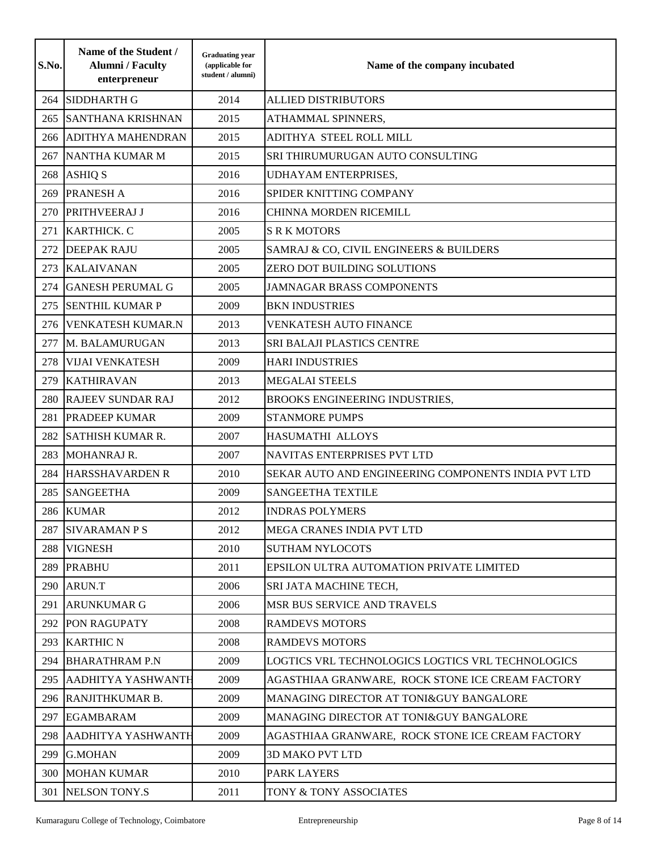| S.No. | Name of the Student /<br><b>Alumni</b> / Faculty<br>enterpreneur | <b>Graduating year</b><br>(applicable for<br>student / alumni) | Name of the company incubated                       |
|-------|------------------------------------------------------------------|----------------------------------------------------------------|-----------------------------------------------------|
| 264   | <b>SIDDHARTH G</b>                                               | 2014                                                           | <b>ALLIED DISTRIBUTORS</b>                          |
| 265   | <b>SANTHANA KRISHNAN</b>                                         | 2015                                                           | ATHAMMAL SPINNERS,                                  |
| 266   | <b>ADITHYA MAHENDRAN</b>                                         | 2015                                                           | ADITHYA STEEL ROLL MILL                             |
| 267   | NANTHA KUMAR M                                                   | 2015                                                           | SRI THIRUMURUGAN AUTO CONSULTING                    |
| 268   | <b>ASHIQ S</b>                                                   | 2016                                                           | UDHAYAM ENTERPRISES,                                |
| 269   | <b>PRANESH A</b>                                                 | 2016                                                           | SPIDER KNITTING COMPANY                             |
| 270   | PRITHVEERAJ J                                                    | 2016                                                           | CHINNA MORDEN RICEMILL                              |
| 271   | KARTHICK. C                                                      | 2005                                                           | <b>S R K MOTORS</b>                                 |
| 272   | <b>DEEPAK RAJU</b>                                               | 2005                                                           | SAMRAJ & CO, CIVIL ENGINEERS & BUILDERS             |
| 273   | <b>KALAIVANAN</b>                                                | 2005                                                           | ZERO DOT BUILDING SOLUTIONS                         |
| 274   | <b>GANESH PERUMAL G</b>                                          | 2005                                                           | <b>JAMNAGAR BRASS COMPONENTS</b>                    |
| 275   | <b>SENTHIL KUMAR P</b>                                           | 2009                                                           | <b>BKN INDUSTRIES</b>                               |
| 276   | <b>VENKATESH KUMAR.N</b>                                         | 2013                                                           | <b>VENKATESH AUTO FINANCE</b>                       |
| 277   | M. BALAMURUGAN                                                   | 2013                                                           | SRI BALAJI PLASTICS CENTRE                          |
| 278   | <b>VIJAI VENKATESH</b>                                           | 2009                                                           | <b>HARI INDUSTRIES</b>                              |
| 279   | <b>KATHIRAVAN</b>                                                | 2013                                                           | <b>MEGALAI STEELS</b>                               |
| 280   | <b>RAJEEV SUNDAR RAJ</b>                                         | 2012                                                           | <b>BROOKS ENGINEERING INDUSTRIES,</b>               |
| 281   | <b>PRADEEP KUMAR</b>                                             | 2009                                                           | <b>STANMORE PUMPS</b>                               |
| 282   | <b>SATHISH KUMAR R.</b>                                          | 2007                                                           | HASUMATHI ALLOYS                                    |
| 283   | <b>MOHANRAJ R.</b>                                               | 2007                                                           | NAVITAS ENTERPRISES PVT LTD                         |
| 284   | <b>HARSSHAVARDEN R</b>                                           | 2010                                                           | SEKAR AUTO AND ENGINEERING COMPONENTS INDIA PVT LTD |
| 285   | <b>SANGEETHA</b>                                                 | 2009                                                           | SANGEETHA TEXTILE                                   |
| 286   | <b>KUMAR</b>                                                     | 2012                                                           | <b>INDRAS POLYMERS</b>                              |
|       | 287 SIVARAMAN P S                                                | 2012                                                           | MEGA CRANES INDIA PVT LTD                           |
|       | 288 VIGNESH                                                      | 2010                                                           | <b>SUTHAM NYLOCOTS</b>                              |
| 289   | <b>PRABHU</b>                                                    | 2011                                                           | EPSILON ULTRA AUTOMATION PRIVATE LIMITED            |
| 290   | ARUN.T                                                           | 2006                                                           | SRI JATA MACHINE TECH,                              |
| 291   | <b>ARUNKUMAR G</b>                                               | 2006                                                           | MSR BUS SERVICE AND TRAVELS                         |
| 292   | <b>PON RAGUPATY</b>                                              | 2008                                                           | <b>RAMDEVS MOTORS</b>                               |
| 293   | <b>KARTHIC N</b>                                                 | 2008                                                           | <b>RAMDEVS MOTORS</b>                               |
| 294   | <b>BHARATHRAM P.N</b>                                            | 2009                                                           | LOGTICS VRL TECHNOLOGICS LOGTICS VRL TECHNOLOGICS   |
| 295   | <b>AADHITYA YASHWANTH</b>                                        | 2009                                                           | AGASTHIAA GRANWARE, ROCK STONE ICE CREAM FACTORY    |
| 296   | RANJITHKUMAR B.                                                  | 2009                                                           | MANAGING DIRECTOR AT TONI&GUY BANGALORE             |
| 297   | <b>EGAMBARAM</b>                                                 | 2009                                                           | MANAGING DIRECTOR AT TONI&GUY BANGALORE             |
| 298   | <b>AADHITYA YASHWANTH</b>                                        | 2009                                                           | AGASTHIAA GRANWARE, ROCK STONE ICE CREAM FACTORY    |
| 299   | <b>G.MOHAN</b>                                                   | 2009                                                           | <b>3D MAKO PVT LTD</b>                              |
| 300   | <b>MOHAN KUMAR</b>                                               | 2010                                                           | PARK LAYERS                                         |
| 301   | <b>NELSON TONY.S</b>                                             | 2011                                                           | TONY & TONY ASSOCIATES                              |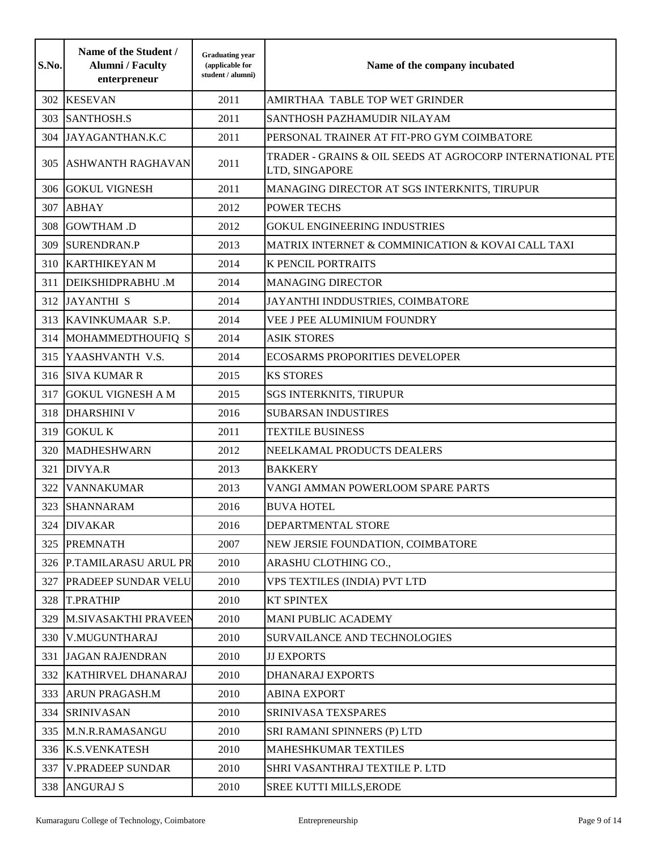| S.No. | Name of the Student /<br><b>Alumni</b> / Faculty<br>enterpreneur | <b>Graduating year</b><br>(applicable for<br>student / alumni) | Name of the company incubated                                               |
|-------|------------------------------------------------------------------|----------------------------------------------------------------|-----------------------------------------------------------------------------|
| 302   | <b>KESEVAN</b>                                                   | 2011                                                           | AMIRTHAA TABLE TOP WET GRINDER                                              |
| 303   | <b>SANTHOSH.S</b>                                                | 2011                                                           | SANTHOSH PAZHAMUDIR NILAYAM                                                 |
| 304   | JAYAGANTHAN.K.C                                                  | 2011                                                           | PERSONAL TRAINER AT FIT-PRO GYM COIMBATORE                                  |
| 305   | <b>ASHWANTH RAGHAVAN</b>                                         | 2011                                                           | TRADER - GRAINS & OIL SEEDS AT AGROCORP INTERNATIONAL PTE<br>LTD, SINGAPORE |
|       | 306 GOKUL VIGNESH                                                | 2011                                                           | MANAGING DIRECTOR AT SGS INTERKNITS, TIRUPUR                                |
| 307   | <b>ABHAY</b>                                                     | 2012                                                           | <b>POWER TECHS</b>                                                          |
| 308   | <b>GOWTHAM .D</b>                                                | 2012                                                           | <b>GOKUL ENGINEERING INDUSTRIES</b>                                         |
| 309   | <b>SURENDRAN.P</b>                                               | 2013                                                           | MATRIX INTERNET & COMMINICATION & KOVAI CALL TAXI                           |
|       | 310 KARTHIKEYAN M                                                | 2014                                                           | <b>K PENCIL PORTRAITS</b>                                                   |
| 311   | <b>DEIKSHIDPRABHU .M</b>                                         | 2014                                                           | <b>MANAGING DIRECTOR</b>                                                    |
| 312   | <b>JAYANTHI S</b>                                                | 2014                                                           | JAYANTHI INDDUSTRIES, COIMBATORE                                            |
| 313   | KAVINKUMAAR S.P.                                                 | 2014                                                           | VEE J PEE ALUMINIUM FOUNDRY                                                 |
| 314   | MOHAMMEDTHOUFIQ S                                                | 2014                                                           | <b>ASIK STORES</b>                                                          |
| 315   | YAASHVANTH V.S.                                                  | 2014                                                           | <b>ECOSARMS PROPORITIES DEVELOPER</b>                                       |
|       | 316 SIVA KUMAR R                                                 | 2015                                                           | <b>KS STORES</b>                                                            |
| 317   | <b>GOKUL VIGNESH A M</b>                                         | 2015                                                           | <b>SGS INTERKNITS, TIRUPUR</b>                                              |
| 318   | <b>DHARSHINI V</b>                                               | 2016                                                           | <b>SUBARSAN INDUSTIRES</b>                                                  |
| 319   | <b>GOKUL K</b>                                                   | 2011                                                           | <b>TEXTILE BUSINESS</b>                                                     |
|       | 320   MADHESHWARN                                                | 2012                                                           | NEELKAMAL PRODUCTS DEALERS                                                  |
| 321   | DIVYA.R                                                          | 2013                                                           | <b>BAKKERY</b>                                                              |
| 322   | <b>VANNAKUMAR</b>                                                | 2013                                                           | VANGI AMMAN POWERLOOM SPARE PARTS                                           |
| 323   | <b>SHANNARAM</b>                                                 | 2016                                                           | <b>BUVA HOTEL</b>                                                           |
|       | 324 DIVAKAR                                                      | 2016                                                           | DEPARTMENTAL STORE                                                          |
|       | 325 PREMNATH                                                     | 2007                                                           | NEW JERSIE FOUNDATION, COIMBATORE                                           |
|       | 326 P.TAMILARASU ARUL PR                                         | 2010                                                           | ARASHU CLOTHING CO.,                                                        |
| 327   | <b>PRADEEP SUNDAR VELU</b>                                       | 2010                                                           | VPS TEXTILES (INDIA) PVT LTD                                                |
|       | 328 T.PRATHIP                                                    | 2010                                                           | <b>KT SPINTEX</b>                                                           |
|       | 329 M.SIVASAKTHI PRAVEEN                                         | 2010                                                           | <b>MANI PUBLIC ACADEMY</b>                                                  |
|       | 330 V.MUGUNTHARAJ                                                | 2010                                                           | <b>SURVAILANCE AND TECHNOLOGIES</b>                                         |
| 331   | <b>JAGAN RAJENDRAN</b>                                           | 2010                                                           | <b>JJ EXPORTS</b>                                                           |
|       | 332 KATHIRVEL DHANARAJ                                           | 2010                                                           | <b>DHANARAJ EXPORTS</b>                                                     |
| 333   | <b>ARUN PRAGASH.M</b>                                            | 2010                                                           | <b>ABINA EXPORT</b>                                                         |
|       | 334 SRINIVASAN                                                   | 2010                                                           | SRINIVASA TEXSPARES                                                         |
|       | 335 M.N.R.RAMASANGU                                              | 2010                                                           | SRI RAMANI SPINNERS (P) LTD                                                 |
|       | 336 K.S.VENKATESH                                                | 2010                                                           | <b>MAHESHKUMAR TEXTILES</b>                                                 |
| 337   | <b>V.PRADEEP SUNDAR</b>                                          | 2010                                                           | SHRI VASANTHRAJ TEXTILE P. LTD                                              |
|       | 338 ANGURAJ S                                                    | 2010                                                           | <b>SREE KUTTI MILLS, ERODE</b>                                              |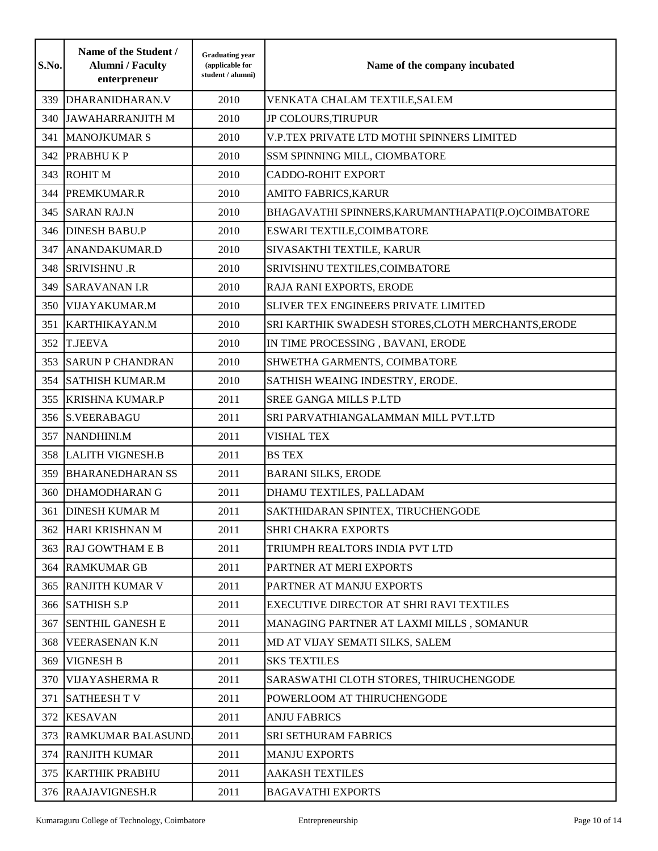| S.No. | Name of the Student /<br><b>Alumni</b> / Faculty<br>enterpreneur | <b>Graduating year</b><br>(applicable for<br>student / alumni) | Name of the company incubated                      |
|-------|------------------------------------------------------------------|----------------------------------------------------------------|----------------------------------------------------|
| 339   | DHARANIDHARAN.V                                                  | 2010                                                           | VENKATA CHALAM TEXTILE, SALEM                      |
| 340   | <b>JAWAHARRANJITH M</b>                                          | 2010                                                           | JP COLOURS, TIRUPUR                                |
| 341   | <b>MANOJKUMAR S</b>                                              | 2010                                                           | V.P.TEX PRIVATE LTD MOTHI SPINNERS LIMITED         |
| 342   | <b>PRABHUKP</b>                                                  | 2010                                                           | SSM SPINNING MILL, CIOMBATORE                      |
| 343   | <b>ROHIT M</b>                                                   | 2010                                                           | <b>CADDO-ROHIT EXPORT</b>                          |
| 344   | PREMKUMAR.R                                                      | 2010                                                           | <b>AMITO FABRICS, KARUR</b>                        |
| 345   | <b>SARAN RAJ.N</b>                                               | 2010                                                           | BHAGAVATHI SPINNERS, KARUMANTHAPATI(P.O)COIMBATORE |
| 346   | <b>DINESH BABU.P</b>                                             | 2010                                                           | ESWARI TEXTILE, COIMBATORE                         |
| 347   | ANANDAKUMAR.D                                                    | 2010                                                           | SIVASAKTHI TEXTILE, KARUR                          |
| 348   | <b>SRIVISHNU .R</b>                                              | 2010                                                           | SRIVISHNU TEXTILES, COIMBATORE                     |
| 349   | <b>SARAVANAN I.R</b>                                             | 2010                                                           | RAJA RANI EXPORTS, ERODE                           |
| 350   | VIJAYAKUMAR.M                                                    | 2010                                                           | <b>SLIVER TEX ENGINEERS PRIVATE LIMITED</b>        |
| 351   | KARTHIKAYAN.M                                                    | 2010                                                           | SRI KARTHIK SWADESH STORES, CLOTH MERCHANTS, ERODE |
| 352   | <b>T.JEEVA</b>                                                   | 2010                                                           | IN TIME PROCESSING, BAVANI, ERODE                  |
| 353   | <b>SARUN P CHANDRAN</b>                                          | 2010                                                           | SHWETHA GARMENTS, COIMBATORE                       |
| 354   | <b>SATHISH KUMAR.M</b>                                           | 2010                                                           | SATHISH WEAING INDESTRY, ERODE.                    |
| 355   | <b>KRISHNA KUMAR.P</b>                                           | 2011                                                           | <b>SREE GANGA MILLS P.LTD</b>                      |
| 356   | <b>S.VEERABAGU</b>                                               | 2011                                                           | SRI PARVATHIANGALAMMAN MILL PVT.LTD                |
| 357   | NANDHINI.M                                                       | 2011                                                           | <b>VISHAL TEX</b>                                  |
| 358   | <b>LALITH VIGNESH.B</b>                                          | 2011                                                           | <b>BS TEX</b>                                      |
| 359   | <b>BHARANEDHARAN SS</b>                                          | 2011                                                           | <b>BARANI SILKS, ERODE</b>                         |
| 360   | <b>DHAMODHARAN G</b>                                             | 2011                                                           | DHAMU TEXTILES, PALLADAM                           |
| 361   | <b>DINESH KUMAR M</b>                                            | 2011                                                           | SAKTHIDARAN SPINTEX, TIRUCHENGODE                  |
|       | 362 HARI KRISHNAN M                                              | 2011                                                           | <b>SHRI CHAKRA EXPORTS</b>                         |
| 363   | <b>RAJ GOWTHAM E B</b>                                           | 2011                                                           | TRIUMPH REALTORS INDIA PVT LTD                     |
| 364   | <b>RAMKUMAR GB</b>                                               | 2011                                                           | PARTNER AT MERI EXPORTS                            |
|       | <b>365 RANJITH KUMAR V</b>                                       | 2011                                                           | PARTNER AT MANJU EXPORTS                           |
|       | 366 SATHISH S.P                                                  | 2011                                                           | EXECUTIVE DIRECTOR AT SHRI RAVI TEXTILES           |
| 367   | <b>SENTHIL GANESH E</b>                                          | 2011                                                           | MANAGING PARTNER AT LAXMI MILLS, SOMANUR           |
| 368   | <b>VEERASENAN K.N</b>                                            | 2011                                                           | MD AT VIJAY SEMATI SILKS, SALEM                    |
| 369   | <b>VIGNESH B</b>                                                 | 2011                                                           | <b>SKS TEXTILES</b>                                |
| 370   | <b>VIJAYASHERMAR</b>                                             | 2011                                                           | SARASWATHI CLOTH STORES, THIRUCHENGODE             |
| 371   | <b>SATHEESH T V</b>                                              | 2011                                                           | POWERLOOM AT THIRUCHENGODE                         |
| 372   | <b>KESAVAN</b>                                                   | 2011                                                           | <b>ANJU FABRICS</b>                                |
| 373   | <b>RAMKUMAR BALASUND.</b>                                        | 2011                                                           | <b>SRI SETHURAM FABRICS</b>                        |
| 374   | <b>RANJITH KUMAR</b>                                             | 2011                                                           | <b>MANJU EXPORTS</b>                               |
| 375   | <b>KARTHIK PRABHU</b>                                            | 2011                                                           | <b>AAKASH TEXTILES</b>                             |
|       | 376 RAAJAVIGNESH.R                                               | 2011                                                           | <b>BAGAVATHI EXPORTS</b>                           |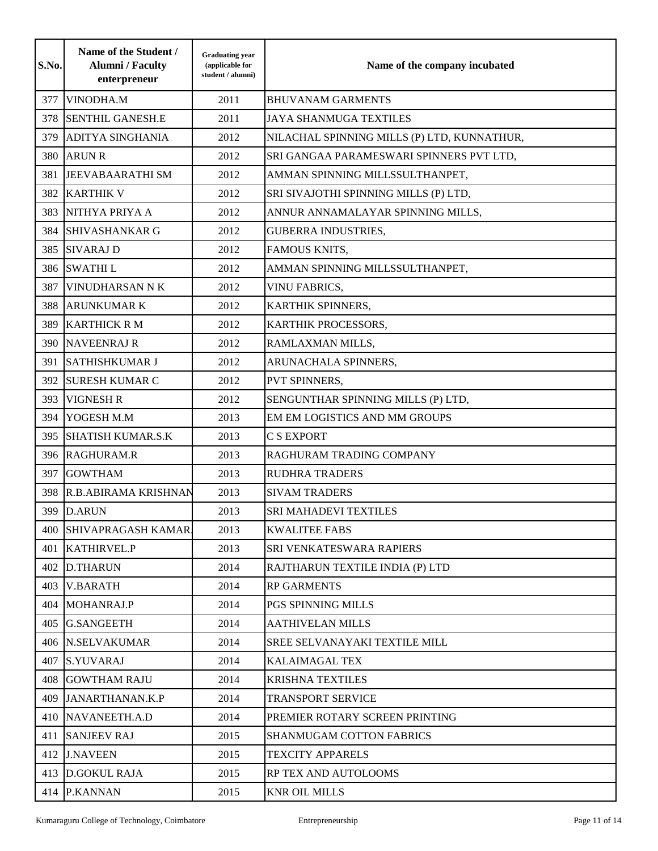| S.No. | Name of the Student /<br><b>Alumni</b> / Faculty<br>enterpreneur | <b>Graduating year</b><br>(applicable for<br>student / alumni) | Name of the company incubated               |
|-------|------------------------------------------------------------------|----------------------------------------------------------------|---------------------------------------------|
| 377   | VINODHA.M                                                        | 2011                                                           | <b>BHUVANAM GARMENTS</b>                    |
| 378   | <b>SENTHIL GANESH.E</b>                                          | 2011                                                           | <b>JAYA SHANMUGA TEXTILES</b>               |
| 379   | <b>ADITYA SINGHANIA</b>                                          | 2012                                                           | NILACHAL SPINNING MILLS (P) LTD, KUNNATHUR, |
| 380   | <b>ARUN R</b>                                                    | 2012                                                           | SRI GANGAA PARAMESWARI SPINNERS PVT LTD,    |
| 381   | <b>JEEVABAARATHI SM</b>                                          | 2012                                                           | AMMAN SPINNING MILLSSULTHANPET,             |
| 382   | <b>KARTHIK V</b>                                                 | 2012                                                           | SRI SIVAJOTHI SPINNING MILLS (P) LTD,       |
| 383   | NITHYA PRIYA A                                                   | 2012                                                           | ANNUR ANNAMALAYAR SPINNING MILLS,           |
| 384   | <b>SHIVASHANKAR G</b>                                            | 2012                                                           | <b>GUBERRA INDUSTRIES,</b>                  |
| 385   | <b>SIVARAJ D</b>                                                 | 2012                                                           | FAMOUS KNITS,                               |
| 386   | <b>SWATHIL</b>                                                   | 2012                                                           | AMMAN SPINNING MILLSSULTHANPET,             |
| 387   | <b>VINUDHARSAN N K</b>                                           | 2012                                                           | <b>VINU FABRICS,</b>                        |
| 388   | <b>ARUNKUMAR K</b>                                               | 2012                                                           | KARTHIK SPINNERS,                           |
| 389   | <b>KARTHICK RM</b>                                               | 2012                                                           | KARTHIK PROCESSORS,                         |
| 390   | <b>NAVEENRAJ R</b>                                               | 2012                                                           | RAMLAXMAN MILLS,                            |
| 391   | <b>SATHISHKUMAR J</b>                                            | 2012                                                           | ARUNACHALA SPINNERS,                        |
| 392   | <b>SURESH KUMAR C</b>                                            | 2012                                                           | PVT SPINNERS,                               |
| 393   | <b>VIGNESH R</b>                                                 | 2012                                                           | SENGUNTHAR SPINNING MILLS (P) LTD,          |
| 394   | YOGESH M.M                                                       | 2013                                                           | EM EM LOGISTICS AND MM GROUPS               |
| 395   | <b>SHATISH KUMAR.S.K</b>                                         | 2013                                                           | <b>C S EXPORT</b>                           |
| 396   | <b>RAGHURAM.R</b>                                                | 2013                                                           | RAGHURAM TRADING COMPANY                    |
| 397   | <b>GOWTHAM</b>                                                   | 2013                                                           | <b>RUDHRA TRADERS</b>                       |
| 398   | R.B.ABIRAMA KRISHNAN                                             | 2013                                                           | <b>SIVAM TRADERS</b>                        |
| 399   | <b>D.ARUN</b>                                                    | 2013                                                           | SRI MAHADEVI TEXTILES                       |
|       | 400 SHIVAPRAGASH KAMAR                                           | 2013                                                           | <b>KWALITEE FABS</b>                        |
| 401   | <b>KATHIRVEL.P</b>                                               | 2013                                                           | SRI VENKATESWARA RAPIERS                    |
| 402   | <b>D.THARUN</b>                                                  | 2014                                                           | RAJTHARUN TEXTILE INDIA (P) LTD             |
|       | 403 V.BARATH                                                     | 2014                                                           | <b>RP GARMENTS</b>                          |
| 404   | MOHANRAJ.P                                                       | 2014                                                           | PGS SPINNING MILLS                          |
| 405   | <b>G.SANGEETH</b>                                                | 2014                                                           | <b>AATHIVELAN MILLS</b>                     |
|       | 406 N.SELVAKUMAR                                                 | 2014                                                           | SREE SELVANAYAKI TEXTILE MILL               |
| 407   | <b>S.YUVARAJ</b>                                                 | 2014                                                           | <b>KALAIMAGAL TEX</b>                       |
|       | 408 GOWTHAM RAJU                                                 | 2014                                                           | <b>KRISHNA TEXTILES</b>                     |
| 409   | JANARTHANAN.K.P                                                  | 2014                                                           | <b>TRANSPORT SERVICE</b>                    |
| 410   | NAVANEETH.A.D                                                    | 2014                                                           | PREMIER ROTARY SCREEN PRINTING              |
| 411   | <b>SANJEEV RAJ</b>                                               | 2015                                                           | <b>SHANMUGAM COTTON FABRICS</b>             |
| 412   | <b>J.NAVEEN</b>                                                  | 2015                                                           | <b>TEXCITY APPARELS</b>                     |
| 413   | <b>D.GOKUL RAJA</b>                                              | 2015                                                           | RP TEX AND AUTOLOOMS                        |
| 414   | <b>P.KANNAN</b>                                                  | 2015                                                           | <b>KNR OIL MILLS</b>                        |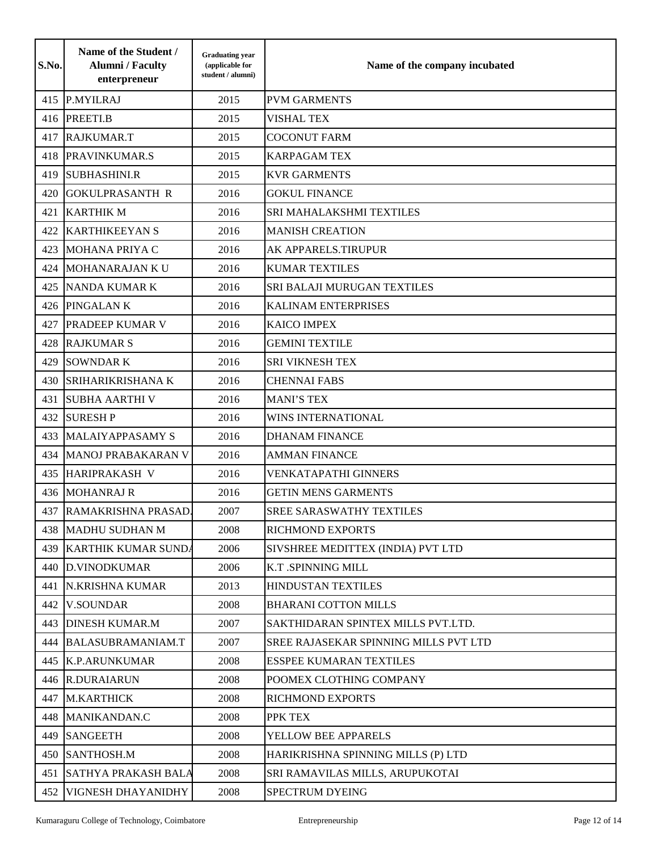| S.No. | Name of the Student /<br><b>Alumni</b> / Faculty<br>enterpreneur | <b>Graduating year</b><br>(applicable for<br>student / alumni) | Name of the company incubated                |
|-------|------------------------------------------------------------------|----------------------------------------------------------------|----------------------------------------------|
| 415   | P.MYILRAJ                                                        | 2015                                                           | <b>PVM GARMENTS</b>                          |
| 416   | PREETI.B                                                         | 2015                                                           | <b>VISHAL TEX</b>                            |
| 417   | RAJKUMAR.T                                                       | 2015                                                           | <b>COCONUT FARM</b>                          |
| 418   | PRAVINKUMAR.S                                                    | 2015                                                           | <b>KARPAGAM TEX</b>                          |
| 419   | <b>SUBHASHINI.R</b>                                              | 2015                                                           | <b>KVR GARMENTS</b>                          |
| 420   | <b>GOKULPRASANTH R</b>                                           | 2016                                                           | <b>GOKUL FINANCE</b>                         |
| 421   | <b>KARTHIK M</b>                                                 | 2016                                                           | SRI MAHALAKSHMI TEXTILES                     |
| 422   | <b>KARTHIKEEYAN S</b>                                            | 2016                                                           | <b>MANISH CREATION</b>                       |
| 423   | <b>MOHANA PRIYA C</b>                                            | 2016                                                           | AK APPARELS.TIRUPUR                          |
| 424   | MOHANARAJAN KU                                                   | 2016                                                           | <b>KUMAR TEXTILES</b>                        |
| 425   | <b>NANDA KUMAR K</b>                                             | 2016                                                           | SRI BALAJI MURUGAN TEXTILES                  |
| 426   | PINGALAN K                                                       | 2016                                                           | <b>KALINAM ENTERPRISES</b>                   |
| 427   | <b>PRADEEP KUMAR V</b>                                           | 2016                                                           | <b>KAICO IMPEX</b>                           |
| 428   | <b>RAJKUMAR S</b>                                                | 2016                                                           | <b>GEMINI TEXTILE</b>                        |
| 429   | <b>SOWNDARK</b>                                                  | 2016                                                           | <b>SRI VIKNESH TEX</b>                       |
| 430   | <b>SRIHARIKRISHANA K</b>                                         | 2016                                                           | <b>CHENNAI FABS</b>                          |
| 431   | <b>SUBHA AARTHI V</b>                                            | 2016                                                           | <b>MANI'S TEX</b>                            |
| 432   | <b>SURESH P</b>                                                  | 2016                                                           | <b>WINS INTERNATIONAL</b>                    |
| 433   | <b>MALAIYAPPASAMY S</b>                                          | 2016                                                           | <b>DHANAM FINANCE</b>                        |
| 434   | MANOJ PRABAKARAN V                                               | 2016                                                           | <b>AMMAN FINANCE</b>                         |
| 435   | HARIPRAKASH V                                                    | 2016                                                           | VENKATAPATHI GINNERS                         |
| 436   | <b>MOHANRAJ R</b>                                                | 2016                                                           | <b>GETIN MENS GARMENTS</b>                   |
| 437   | RAMAKRISHNA PRASAD.                                              | 2007                                                           | <b>SREE SARASWATHY TEXTILES</b>              |
|       | 438 MADHU SUDHAN M                                               | 2008                                                           | <b>RICHMOND EXPORTS</b>                      |
|       | 439 KARTHIK KUMAR SUNDA                                          | 2006                                                           | SIVSHREE MEDITTEX (INDIA) PVT LTD            |
|       | 440 D.VINODKUMAR                                                 | 2006                                                           | K.T .SPINNING MILL                           |
| 441   | N.KRISHNA KUMAR                                                  | 2013                                                           | <b>HINDUSTAN TEXTILES</b>                    |
| 442   | <b>V.SOUNDAR</b>                                                 | 2008                                                           | <b>BHARANI COTTON MILLS</b>                  |
| 443   | <b>DINESH KUMAR.M</b>                                            | 2007                                                           | SAKTHIDARAN SPINTEX MILLS PVT.LTD.           |
| 444   | BALASUBRAMANIAM.T                                                | 2007                                                           | <b>SREE RAJASEKAR SPINNING MILLS PVT LTD</b> |
|       | 445 K.P.ARUNKUMAR                                                | 2008                                                           | <b>ESSPEE KUMARAN TEXTILES</b>               |
|       | 446 R.DURAIARUN                                                  | 2008                                                           | POOMEX CLOTHING COMPANY                      |
|       | 447 M.KARTHICK                                                   | 2008                                                           | <b>RICHMOND EXPORTS</b>                      |
|       | 448 MANIKANDAN.C                                                 | 2008                                                           | PPK TEX                                      |
| 449   | <b>SANGEETH</b>                                                  | 2008                                                           | YELLOW BEE APPARELS                          |
|       | 450 SANTHOSH.M                                                   | 2008                                                           | HARIKRISHNA SPINNING MILLS (P) LTD           |
| 451   | <b>SATHYA PRAKASH BALA</b>                                       | 2008                                                           | SRI RAMAVILAS MILLS, ARUPUKOTAI              |
| 452   | VIGNESH DHAYANIDHY                                               | 2008                                                           | <b>SPECTRUM DYEING</b>                       |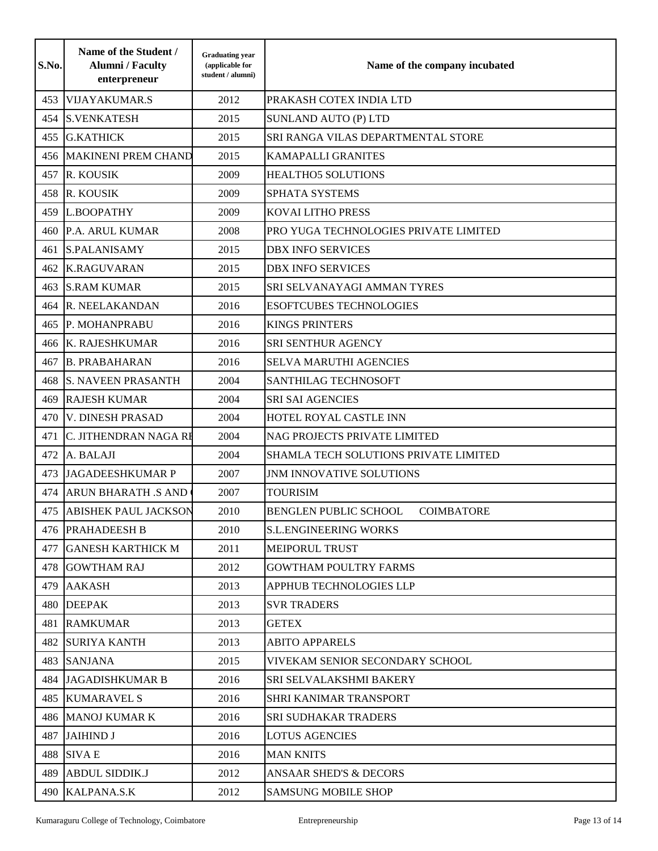| S.No. | Name of the Student /<br><b>Alumni</b> / Faculty<br>enterpreneur | <b>Graduating year</b><br>(applicable for<br>student / alumni) | Name of the company incubated                     |
|-------|------------------------------------------------------------------|----------------------------------------------------------------|---------------------------------------------------|
| 453   | <b>VIJAYAKUMAR.S</b>                                             | 2012                                                           | PRAKASH COTEX INDIA LTD                           |
| 454   | <b>S.VENKATESH</b>                                               | 2015                                                           | <b>SUNLAND AUTO (P) LTD</b>                       |
| 455   | <b>G.KATHICK</b>                                                 | 2015                                                           | SRI RANGA VILAS DEPARTMENTAL STORE                |
| 456   | <b>MAKINENI PREM CHAND</b>                                       | 2015                                                           | <b>KAMAPALLI GRANITES</b>                         |
| 457   | R. KOUSIK                                                        | 2009                                                           | <b>HEALTHO5 SOLUTIONS</b>                         |
| 458   | R. KOUSIK                                                        | 2009                                                           | SPHATA SYSTEMS                                    |
| 459   | L.BOOPATHY                                                       | 2009                                                           | <b>KOVAI LITHO PRESS</b>                          |
| 460   | P.A. ARUL KUMAR                                                  | 2008                                                           | PRO YUGA TECHNOLOGIES PRIVATE LIMITED             |
| 461   | <b>S.PALANISAMY</b>                                              | 2015                                                           | <b>DBX INFO SERVICES</b>                          |
| 462   | <b>K.RAGUVARAN</b>                                               | 2015                                                           | <b>DBX INFO SERVICES</b>                          |
| 463   | <b>S.RAM KUMAR</b>                                               | 2015                                                           | SRI SELVANAYAGI AMMAN TYRES                       |
| 464   | R. NEELAKANDAN                                                   | 2016                                                           | <b>ESOFTCUBES TECHNOLOGIES</b>                    |
| 465   | P. MOHANPRABU                                                    | 2016                                                           | <b>KINGS PRINTERS</b>                             |
| 466   | K. RAJESHKUMAR                                                   | 2016                                                           | SRI SENTHUR AGENCY                                |
| 467   | <b>B. PRABAHARAN</b>                                             | 2016                                                           | SELVA MARUTHI AGENCIES                            |
| 468   | <b>S. NAVEEN PRASANTH</b>                                        | 2004                                                           | SANTHILAG TECHNOSOFT                              |
| 469   | <b>RAJESH KUMAR</b>                                              | 2004                                                           | <b>SRI SAI AGENCIES</b>                           |
| 470   | <b>V. DINESH PRASAD</b>                                          | 2004                                                           | HOTEL ROYAL CASTLE INN                            |
| 471   | C. JITHENDRAN NAGA RI                                            | 2004                                                           | NAG PROJECTS PRIVATE LIMITED                      |
| 472   | A. BALAJI                                                        | 2004                                                           | SHAMLA TECH SOLUTIONS PRIVATE LIMITED             |
| 473   | <b>JAGADEESHKUMAR P</b>                                          | 2007                                                           | JNM INNOVATIVE SOLUTIONS                          |
| 474   | <b>ARUN BHARATH .S AND</b>                                       | 2007                                                           | <b>TOURISIM</b>                                   |
| 475   | <b>ABISHEK PAUL JACKSON</b>                                      | 2010                                                           | <b>BENGLEN PUBLIC SCHOOL</b><br><b>COIMBATORE</b> |
|       | 476 PRAHADEESH B                                                 | 2010                                                           | <b>S.L.ENGINEERING WORKS</b>                      |
| 477   | <b>GANESH KARTHICK M</b>                                         | 2011                                                           | MEIPORUL TRUST                                    |
| 478   | <b>GOWTHAM RAJ</b>                                               | 2012                                                           | <b>GOWTHAM POULTRY FARMS</b>                      |
| 479   | <b>AAKASH</b>                                                    | 2013                                                           | APPHUB TECHNOLOGIES LLP                           |
| 480   | <b>DEEPAK</b>                                                    | 2013                                                           | <b>SVR TRADERS</b>                                |
| 481   | <b>RAMKUMAR</b>                                                  | 2013                                                           | <b>GETEX</b>                                      |
| 482   | <b>SURIYA KANTH</b>                                              | 2013                                                           | <b>ABITO APPARELS</b>                             |
| 483   | <b>SANJANA</b>                                                   | 2015                                                           | VIVEKAM SENIOR SECONDARY SCHOOL                   |
| 484   | JAGADISHKUMAR B                                                  | 2016                                                           | SRI SELVALAKSHMI BAKERY                           |
| 485   | <b>KUMARAVEL S</b>                                               | 2016                                                           | SHRI KANIMAR TRANSPORT                            |
|       | <b>486 MANOJ KUMAR K</b>                                         | 2016                                                           | <b>SRI SUDHAKAR TRADERS</b>                       |
| 487   | <b>JAIHIND J</b>                                                 | 2016                                                           | <b>LOTUS AGENCIES</b>                             |
| 488   | <b>SIVA E</b>                                                    | 2016                                                           | <b>MAN KNITS</b>                                  |
| 489   | <b>ABDUL SIDDIK.J</b>                                            | 2012                                                           | <b>ANSAAR SHED'S &amp; DECORS</b>                 |
| 490   | KALPANA.S.K                                                      | 2012                                                           | <b>SAMSUNG MOBILE SHOP</b>                        |